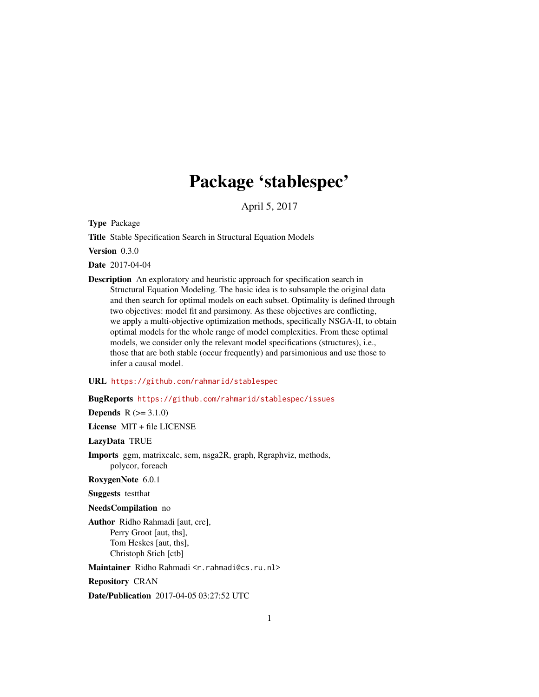# Package 'stablespec'

April 5, 2017

<span id="page-0-0"></span>Type Package

Title Stable Specification Search in Structural Equation Models

Version 0.3.0

Date 2017-04-04

Description An exploratory and heuristic approach for specification search in Structural Equation Modeling. The basic idea is to subsample the original data and then search for optimal models on each subset. Optimality is defined through two objectives: model fit and parsimony. As these objectives are conflicting, we apply a multi-objective optimization methods, specifically NSGA-II, to obtain optimal models for the whole range of model complexities. From these optimal models, we consider only the relevant model specifications (structures), i.e., those that are both stable (occur frequently) and parsimonious and use those to infer a causal model.

#### URL <https://github.com/rahmarid/stablespec>

# BugReports <https://github.com/rahmarid/stablespec/issues>

**Depends**  $R (= 3.1.0)$ 

License MIT + file LICENSE

LazyData TRUE

Imports ggm, matrixcalc, sem, nsga2R, graph, Rgraphviz, methods, polycor, foreach

RoxygenNote 6.0.1

Suggests testthat

NeedsCompilation no

Author Ridho Rahmadi [aut, cre], Perry Groot [aut, ths], Tom Heskes [aut, ths], Christoph Stich [ctb]

Maintainer Ridho Rahmadi <r.rahmadi@cs.ru.nl>

Repository CRAN

Date/Publication 2017-04-05 03:27:52 UTC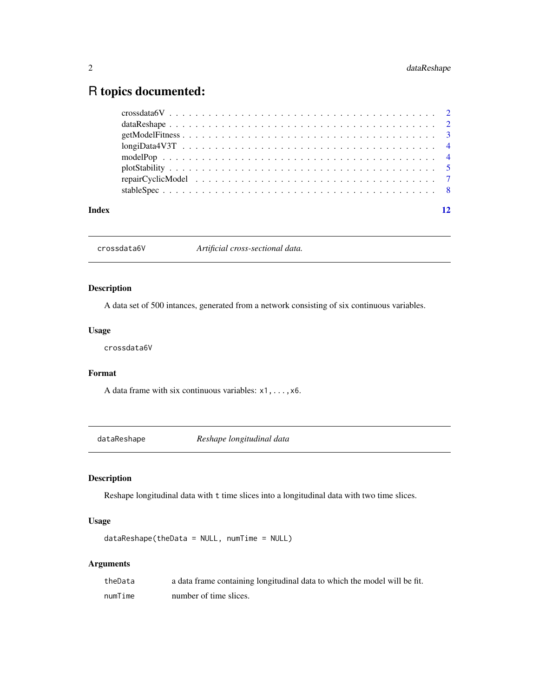# <span id="page-1-0"></span>R topics documented:

|  |  | 12 |
|--|--|----|

crossdata6V *Artificial cross-sectional data.*

# Description

A data set of 500 intances, generated from a network consisting of six continuous variables.

# Usage

crossdata6V

# Format

A data frame with six continuous variables: x1,...,x6.

<span id="page-1-1"></span>dataReshape *Reshape longitudinal data*

# Description

Reshape longitudinal data with t time slices into a longitudinal data with two time slices.

# Usage

dataReshape(theData = NULL, numTime = NULL)

# Arguments

| theData | a data frame containing longitudinal data to which the model will be fit. |
|---------|---------------------------------------------------------------------------|
| numTime | number of time slices.                                                    |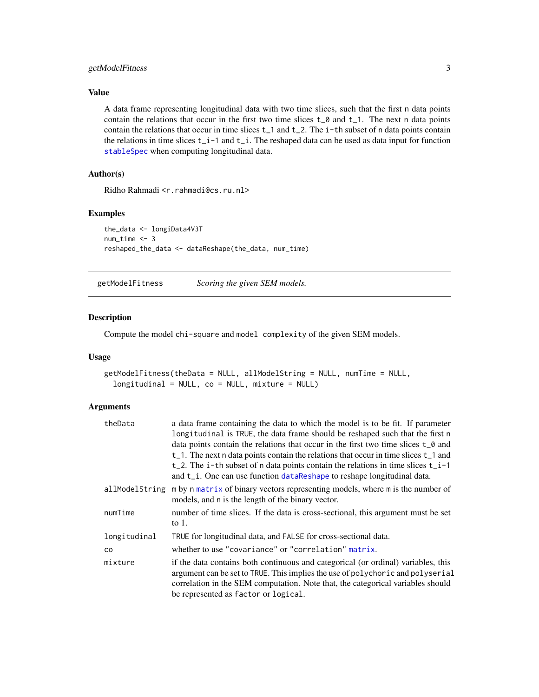# <span id="page-2-0"></span>getModelFitness 3

# Value

A data frame representing longitudinal data with two time slices, such that the first n data points contain the relations that occur in the first two time slices  $t_0$  and  $t_1$ . The next n data points contain the relations that occur in time slices  $t_1$  and  $t_2$ . The i-th subset of n data points contain the relations in time slices t\_i-1 and t\_i. The reshaped data can be used as data input for function [stableSpec](#page-7-1) when computing longitudinal data.

# Author(s)

Ridho Rahmadi <r.rahmadi@cs.ru.nl>

#### Examples

```
the_data <- longiData4V3T
num_time < -3reshaped_the_data <- dataReshape(the_data, num_time)
```
getModelFitness *Scoring the given SEM models.*

#### Description

Compute the model chi-square and model complexity of the given SEM models.

#### Usage

```
getModelFitness(theData = NULL, allModelString = NULL, numTime = NULL,
  longitudinal = NULL, co = NULL, mixture = NULL)
```
# Arguments

| theData      | a data frame containing the data to which the model is to be fit. If parameter                                                                                                                                                                                                                 |
|--------------|------------------------------------------------------------------------------------------------------------------------------------------------------------------------------------------------------------------------------------------------------------------------------------------------|
|              | longitudinal is TRUE, the data frame should be reshaped such that the first n                                                                                                                                                                                                                  |
|              | data points contain the relations that occur in the first two time slices t <sub>0</sub> and                                                                                                                                                                                                   |
|              | $t_{-1}$ . The next n data points contain the relations that occur in time slices $t_{-1}$ and                                                                                                                                                                                                 |
|              | t_2. The i-th subset of n data points contain the relations in time slices $t_i$ i-1                                                                                                                                                                                                           |
|              | and t <sub>ri</sub> . One can use function data Reshape to reshape longitudinal data.                                                                                                                                                                                                          |
|              | allModelString m by n matrix of binary vectors representing models, where m is the number of<br>models, and n is the length of the binary vector.                                                                                                                                              |
| numTime      | number of time slices. If the data is cross-sectional, this argument must be set<br>to $1$ .                                                                                                                                                                                                   |
| longitudinal | TRUE for longitudinal data, and FALSE for cross-sectional data.                                                                                                                                                                                                                                |
| CO.          | whether to use "covariance" or "correlation" matrix.                                                                                                                                                                                                                                           |
| mixture      | if the data contains both continuous and categorical (or ordinal) variables, this<br>argument can be set to TRUE. This implies the use of polychoric and polyserial<br>correlation in the SEM computation. Note that, the categorical variables should<br>be represented as factor or logical. |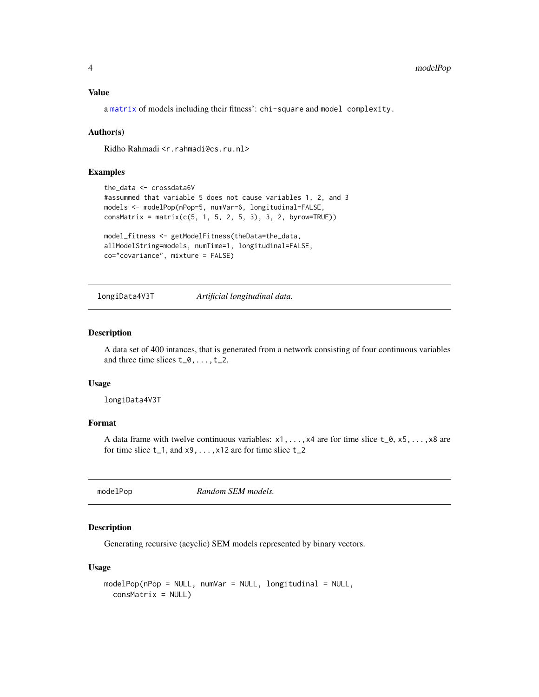# <span id="page-3-0"></span>Value

a [matrix](#page-0-0) of models including their fitness': chi-square and model complexity.

#### Author(s)

Ridho Rahmadi <r.rahmadi@cs.ru.nl>

#### Examples

```
the_data <- crossdata6V
#assummed that variable 5 does not cause variables 1, 2, and 3
models <- modelPop(nPop=5, numVar=6, longitudinal=FALSE,
consMatrix = matrix(c(5, 1, 5, 2, 5, 3), 3, 2, byrow=True)
```

```
model_fitness <- getModelFitness(theData=the_data,
allModelString=models, numTime=1, longitudinal=FALSE,
co="covariance", mixture = FALSE)
```
longiData4V3T *Artificial longitudinal data.*

### Description

A data set of 400 intances, that is generated from a network consisting of four continuous variables and three time slices  $t_0, \ldots, t_2$ .

#### Usage

longiData4V3T

#### Format

A data frame with twelve continuous variables:  $x1, \ldots, x4$  are for time slice  $t_0, x5, \ldots, x8$  are for time slice  $t_1$ , and  $x_9$ , ...,  $x_1$  are for time slice  $t_2$ 

modelPop *Random SEM models.*

# Description

Generating recursive (acyclic) SEM models represented by binary vectors.

#### Usage

```
modelPop(nPop = NULL, numVar = NULL, longitudinal = NULL,consMatrix = NULL)
```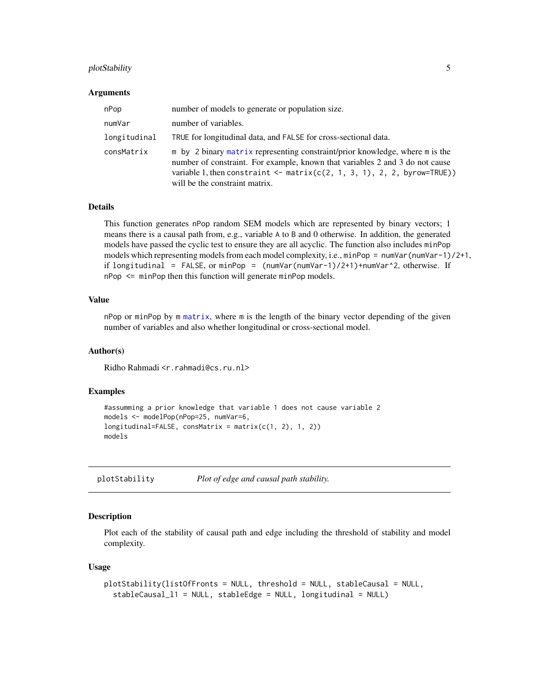# <span id="page-4-0"></span>plotStability 5

#### Arguments

| nPop         | number of models to generate or population size.                                                                                                                                                                                                                              |
|--------------|-------------------------------------------------------------------------------------------------------------------------------------------------------------------------------------------------------------------------------------------------------------------------------|
| numVar       | number of variables.                                                                                                                                                                                                                                                          |
| longitudinal | TRUE for longitudinal data, and FALSE for cross-sectional data.                                                                                                                                                                                                               |
| consMatrix   | m by 2 binary matrix representing constraint/prior knowledge, where m is the<br>number of constraint. For example, known that variables 2 and 3 do not cause<br>variable 1, then constraint $\leq$ matrix(c(2, 1, 3, 1), 2, 2, byrow=TRUE))<br>will be the constraint matrix. |

# Details

This function generates nPop random SEM models which are represented by binary vectors; 1 means there is a causal path from, e.g., variable A to B and 0 otherwise. In addition, the generated models have passed the cyclic test to ensure they are all acyclic. The function also includes minPop models which representing models from each model complexity, i.e., minPop = numVar(numVar-1)/2+1, if longitudinal = FALSE, or minPop = (numVar(numVar-1)/2+1)+numVar^2, otherwise. If nPop <= minPop then this function will generate minPop models.

# Value

nPop or minPop by m [matrix](#page-0-0), where m is the length of the binary vector depending of the given number of variables and also whether longitudinal or cross-sectional model.

#### Author(s)

Ridho Rahmadi <r.rahmadi@cs.ru.nl>

# Examples

```
#assumming a prior knowledge that variable 1 does not cause variable 2
models <- modelPop(nPop=25, numVar=6,
longitudinal=FALSE, consMatrix = matrix(c(1, 2), 1, 2))
models
```
plotStability *Plot of edge and causal path stability.*

#### Description

Plot each of the stability of causal path and edge including the threshold of stability and model complexity.

#### Usage

```
plotStability(listOfFronts = NULL, threshold = NULL, stableCausal = NULL,
  stableCausal_l1 = NULL, stableEdge = NULL, longitudinal = NULL)
```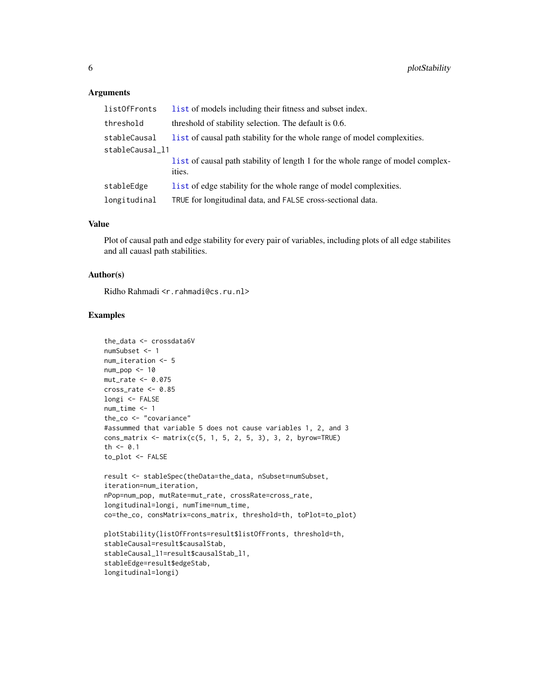#### **Arguments**

| list0fFronts    | list of models including their fitness and subset index.                                  |
|-----------------|-------------------------------------------------------------------------------------------|
| threshold       | threshold of stability selection. The default is 0.6.                                     |
| stableCausal    | list of causal path stability for the whole range of model complexities.                  |
| stableCausal_11 |                                                                                           |
|                 | list of causal path stability of length 1 for the whole range of model complex-<br>ities. |
| stableEdge      | list of edge stability for the whole range of model complexities.                         |
| longitudinal    | TRUE for longitudinal data, and FALSE cross-sectional data.                               |

# Value

Plot of causal path and edge stability for every pair of variables, including plots of all edge stabilites and all cauasl path stabilities.

### Author(s)

Ridho Rahmadi <r.rahmadi@cs.ru.nl>

#### Examples

```
the_data <- crossdata6V
numSubset <- 1
num_iteration <- 5
num_pop <- 10
mut_rate <- 0.075
cross_rate <- 0.85
longi <- FALSE
num_time <- 1
the_co <- "covariance"
#assummed that variable 5 does not cause variables 1, 2, and 3
cons_matrix <- matrix(c(5, 1, 5, 2, 5, 3), 3, 2, byrow=TRUE)
th <-0.1to_plot <- FALSE
result <- stableSpec(theData=the_data, nSubset=numSubset,
iteration=num_iteration,
nPop=num_pop, mutRate=mut_rate, crossRate=cross_rate,
longitudinal=longi, numTime=num_time,
co=the_co, consMatrix=cons_matrix, threshold=th, toPlot=to_plot)
plotStability(listOfFronts=result$listOfFronts, threshold=th,
stableCausal=result$causalStab,
stableCausal_l1=result$causalStab_l1,
stableEdge=result$edgeStab,
longitudinal=longi)
```
<span id="page-5-0"></span>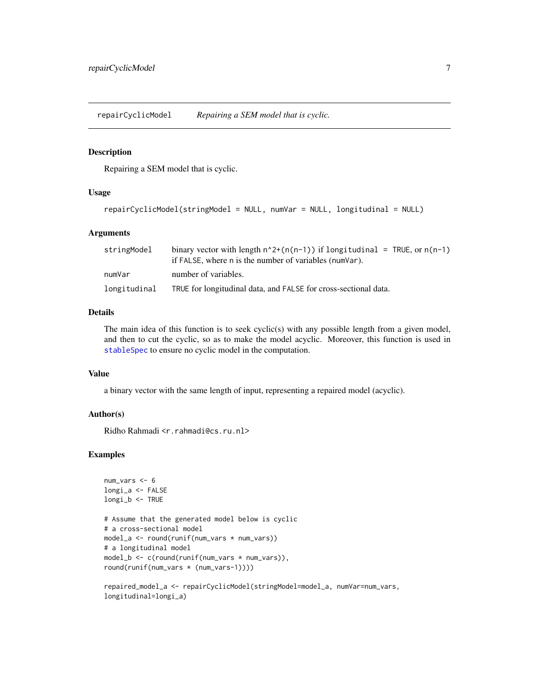<span id="page-6-0"></span>repairCyclicModel *Repairing a SEM model that is cyclic.*

#### Description

Repairing a SEM model that is cyclic.

#### Usage

```
repairCyclicModel(stringModel = NULL, numVar = NULL, longitudinal = NULL)
```
#### Arguments

| stringModel  | binary vector with length $n^2+(n(n-1))$ if longitudinal = TRUE, or $n(n-1)$<br>if FALSE, where n is the number of variables (numVar). |
|--------------|----------------------------------------------------------------------------------------------------------------------------------------|
| numVar       | number of variables.                                                                                                                   |
| longitudinal | TRUE for longitudinal data, and FALSE for cross-sectional data.                                                                        |

# Details

The main idea of this function is to seek cyclic(s) with any possible length from a given model, and then to cut the cyclic, so as to make the model acyclic. Moreover, this function is used in [stableSpec](#page-7-1) to ensure no cyclic model in the computation.

#### Value

a binary vector with the same length of input, representing a repaired model (acyclic).

#### Author(s)

Ridho Rahmadi <r.rahmadi@cs.ru.nl>

longitudinal=longi\_a)

#### Examples

```
num_vars <- 6
longi_a <- FALSE
longi_b <- TRUE
# Assume that the generated model below is cyclic
# a cross-sectional model
model_a <- round(runif(num_vars * num_vars))
# a longitudinal model
model_b <- c(round(runif(num_vars * num_vars)),
round(runif(num_vars * (num_vars-1))))
repaired_model_a <- repairCyclicModel(stringModel=model_a, numVar=num_vars,
```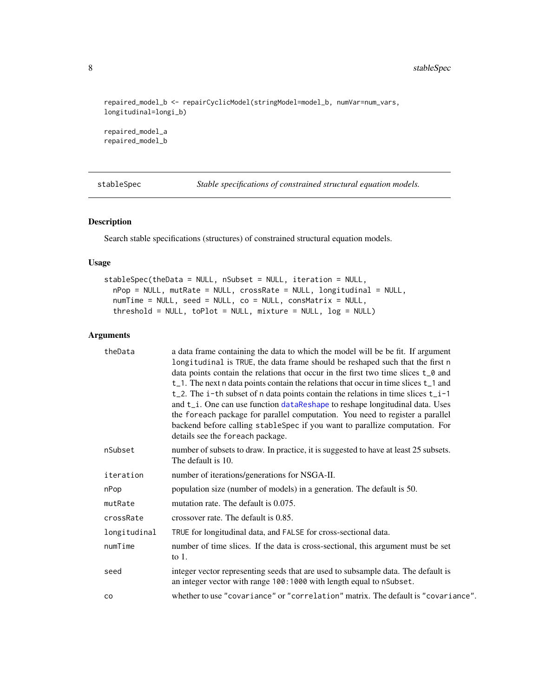```
repaired_model_b <- repairCyclicModel(stringModel=model_b, numVar=num_vars,
longitudinal=longi_b)
```
repaired\_model\_a repaired\_model\_b

<span id="page-7-1"></span>stableSpec *Stable specifications of constrained structural equation models.*

# Description

Search stable specifications (structures) of constrained structural equation models.

# Usage

```
stableSpec(theData = NULL, nSubset = NULL, iteration = NULL,
 nPop = NULL, mutRate = NULL, crossRate = NULL, longitudinal = NULL,
 numTime = NULL, seed = NULL, co = NULL, consMatrix = NULL,
  threshold = NULL, toPlot = NULL, mixture = NULL, log = NULL
```
# Arguments

| theData      | a data frame containing the data to which the model will be be fit. If argument<br>longitudinal is TRUE, the data frame should be reshaped such that the first n<br>data points contain the relations that occur in the first two time slices t <sub>0</sub> and<br>$t$ <sub>1</sub> . The next n data points contain the relations that occur in time slices $t$ <sub>1</sub> and<br>t_2. The $i$ -th subset of n data points contain the relations in time slices $t_i$ -1<br>and t_i. One can use function dataReshape to reshape longitudinal data. Uses<br>the foreach package for parallel computation. You need to register a parallel<br>backend before calling stableSpec if you want to parallize computation. For<br>details see the foreach package. |
|--------------|------------------------------------------------------------------------------------------------------------------------------------------------------------------------------------------------------------------------------------------------------------------------------------------------------------------------------------------------------------------------------------------------------------------------------------------------------------------------------------------------------------------------------------------------------------------------------------------------------------------------------------------------------------------------------------------------------------------------------------------------------------------|
| nSubset      | number of subsets to draw. In practice, it is suggested to have at least 25 subsets.<br>The default is 10.                                                                                                                                                                                                                                                                                                                                                                                                                                                                                                                                                                                                                                                       |
| iteration    | number of iterations/generations for NSGA-II.                                                                                                                                                                                                                                                                                                                                                                                                                                                                                                                                                                                                                                                                                                                    |
| nPop         | population size (number of models) in a generation. The default is 50.                                                                                                                                                                                                                                                                                                                                                                                                                                                                                                                                                                                                                                                                                           |
| mutRate      | mutation rate. The default is 0.075.                                                                                                                                                                                                                                                                                                                                                                                                                                                                                                                                                                                                                                                                                                                             |
| crossRate    | crossover rate. The default is 0.85.                                                                                                                                                                                                                                                                                                                                                                                                                                                                                                                                                                                                                                                                                                                             |
| longitudinal | TRUE for longitudinal data, and FALSE for cross-sectional data.                                                                                                                                                                                                                                                                                                                                                                                                                                                                                                                                                                                                                                                                                                  |
| numTime      | number of time slices. If the data is cross-sectional, this argument must be set<br>to $1$ .                                                                                                                                                                                                                                                                                                                                                                                                                                                                                                                                                                                                                                                                     |
| seed         | integer vector representing seeds that are used to subsample data. The default is<br>an integer vector with range 100:1000 with length equal to nSubset.                                                                                                                                                                                                                                                                                                                                                                                                                                                                                                                                                                                                         |
| co           | whether to use "covariance" or "correlation" matrix. The default is "covariance".                                                                                                                                                                                                                                                                                                                                                                                                                                                                                                                                                                                                                                                                                |

<span id="page-7-0"></span>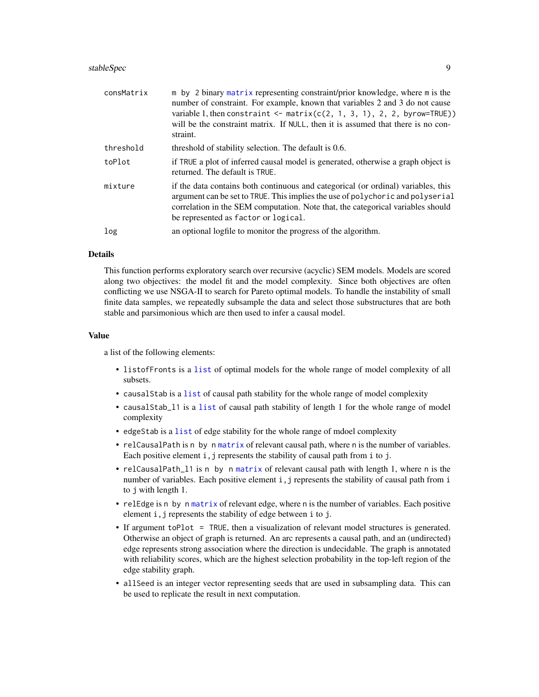#### <span id="page-8-0"></span>stableSpec 9

| consMatrix | m by 2 binary matrix representing constraint/prior knowledge, where m is the<br>number of constraint. For example, known that variables 2 and 3 do not cause<br>variable 1, then constraint $\leq$ matrix(c(2, 1, 3, 1), 2, 2, byrow=TRUE))<br>will be the constraint matrix. If NULL, then it is assumed that there is no con-<br>straint. |
|------------|---------------------------------------------------------------------------------------------------------------------------------------------------------------------------------------------------------------------------------------------------------------------------------------------------------------------------------------------|
| threshold  | threshold of stability selection. The default is 0.6.                                                                                                                                                                                                                                                                                       |
| toPlot     | if TRUE a plot of inferred causal model is generated, otherwise a graph object is<br>returned. The default is TRUE.                                                                                                                                                                                                                         |
| mixture    | if the data contains both continuous and categorical (or ordinal) variables, this<br>argument can be set to TRUE. This implies the use of polychoric and polyserial<br>correlation in the SEM computation. Note that, the categorical variables should<br>be represented as factor or logical.                                              |
| log        | an optional logfile to monitor the progress of the algorithm.                                                                                                                                                                                                                                                                               |

#### **Details**

This function performs exploratory search over recursive (acyclic) SEM models. Models are scored along two objectives: the model fit and the model complexity. Since both objectives are often conflicting we use NSGA-II to search for Pareto optimal models. To handle the instability of small finite data samples, we repeatedly subsample the data and select those substructures that are both stable and parsimonious which are then used to infer a causal model.

#### Value

a list of the following elements:

- listofFronts is a [list](#page-0-0) of optimal models for the whole range of model complexity of all subsets.
- causalStab is a [list](#page-0-0) of causal path stability for the whole range of model complexity
- causalStab\_l1 is a [list](#page-0-0) of causal path stability of length 1 for the whole range of model complexity
- edgeStab is a [list](#page-0-0) of edge stability for the whole range of mdoel complexity
- relCausalPath is n by n [matrix](#page-0-0) of relevant causal path, where n is the number of variables. Each positive element  $i, j$  represents the stability of causal path from  $i$  to  $j.$
- relCausalPath\_l1 is n by n [matrix](#page-0-0) of relevant causal path with length 1, where n is the number of variables. Each positive element i, j represents the stability of causal path from i to j with length 1.
- relEdge is n by n [matrix](#page-0-0) of relevant edge, where n is the number of variables. Each positive element i,j represents the stability of edge between i to j.
- If argument toPlot = TRUE, then a visualization of relevant model structures is generated. Otherwise an object of graph is returned. An arc represents a causal path, and an (undirected) edge represents strong association where the direction is undecidable. The graph is annotated with reliability scores, which are the highest selection probability in the top-left region of the edge stability graph.
- allSeed is an integer vector representing seeds that are used in subsampling data. This can be used to replicate the result in next computation.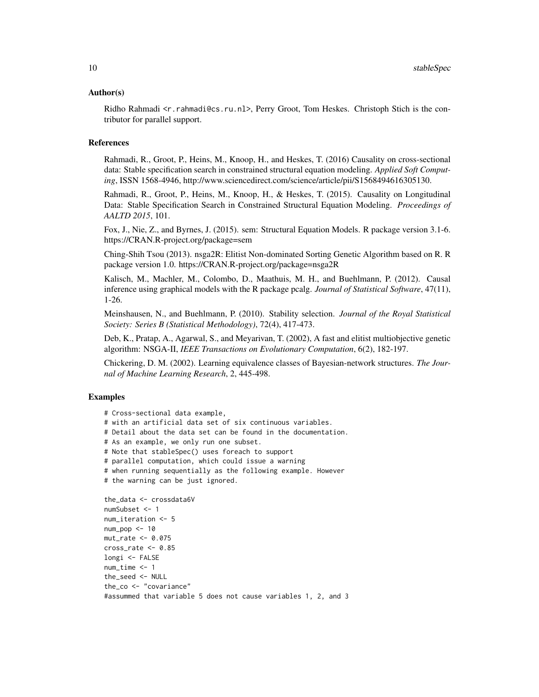#### Author(s)

Ridho Rahmadi <r. rahmadi@cs.ru.nl>, Perry Groot, Tom Heskes. Christoph Stich is the contributor for parallel support.

#### References

Rahmadi, R., Groot, P., Heins, M., Knoop, H., and Heskes, T. (2016) Causality on cross-sectional data: Stable specification search in constrained structural equation modeling. *Applied Soft Computing*, ISSN 1568-4946, http://www.sciencedirect.com/science/article/pii/S1568494616305130.

Rahmadi, R., Groot, P., Heins, M., Knoop, H., & Heskes, T. (2015). Causality on Longitudinal Data: Stable Specification Search in Constrained Structural Equation Modeling. *Proceedings of AALTD 2015*, 101.

Fox, J., Nie, Z., and Byrnes, J. (2015). sem: Structural Equation Models. R package version 3.1-6. https://CRAN.R-project.org/package=sem

Ching-Shih Tsou (2013). nsga2R: Elitist Non-dominated Sorting Genetic Algorithm based on R. R package version 1.0. https://CRAN.R-project.org/package=nsga2R

Kalisch, M., Machler, M., Colombo, D., Maathuis, M. H., and Buehlmann, P. (2012). Causal inference using graphical models with the R package pcalg. *Journal of Statistical Software*, 47(11), 1-26.

Meinshausen, N., and Buehlmann, P. (2010). Stability selection. *Journal of the Royal Statistical Society: Series B (Statistical Methodology)*, 72(4), 417-473.

Deb, K., Pratap, A., Agarwal, S., and Meyarivan, T. (2002), A fast and elitist multiobjective genetic algorithm: NSGA-II, *IEEE Transactions on Evolutionary Computation*, 6(2), 182-197.

Chickering, D. M. (2002). Learning equivalence classes of Bayesian-network structures. *The Journal of Machine Learning Research*, 2, 445-498.

#### Examples

```
# Cross-sectional data example,
# with an artificial data set of six continuous variables.
# Detail about the data set can be found in the documentation.
# As an example, we only run one subset.
# Note that stableSpec() uses foreach to support
# parallel computation, which could issue a warning
# when running sequentially as the following example. However
# the warning can be just ignored.
the_data <- crossdata6V
numSubset <- 1
num_iteration <- 5
num\_pop < -10mut_rate <- 0.075
cross_rate <- 0.85
longi <- FALSE
num_time <- 1
the_seed <- NULL
the_co <- "covariance"
```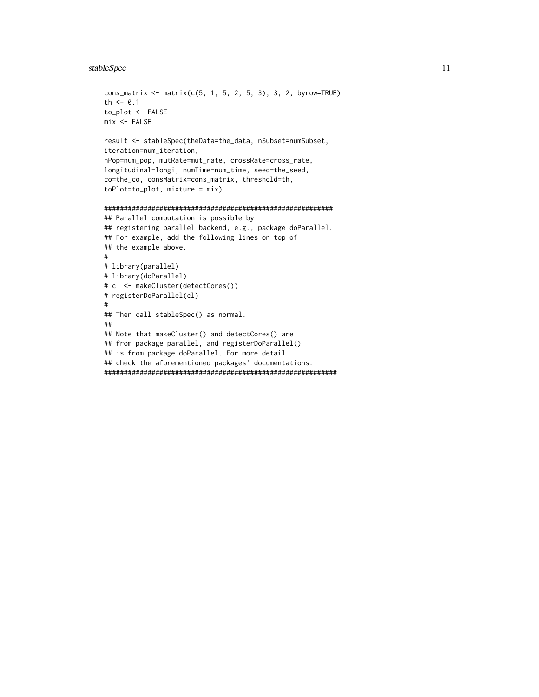# stableSpec 11

```
cons_matrix <- matrix(c(5, 1, 5, 2, 5, 3), 3, 2, byrow=TRUE)
th <-0.1to_plot <- FALSE
mix < - FALSE
result <- stableSpec(theData=the_data, nSubset=numSubset,
iteration=num_iteration,
nPop=num_pop, mutRate=mut_rate, crossRate=cross_rate,
longitudinal=longi, numTime=num_time, seed=the_seed,
co=the_co, consMatrix=cons_matrix, threshold=th,
toPlot=to_plot, mixture = mix)
##########################################################
## Parallel computation is possible by
## registering parallel backend, e.g., package doParallel.
## For example, add the following lines on top of
## the example above.
#
# library(parallel)
# library(doParallel)
# cl <- makeCluster(detectCores())
# registerDoParallel(cl)
#
## Then call stableSpec() as normal.
##
## Note that makeCluster() and detectCores() are
## from package parallel, and registerDoParallel()
## is from package doParallel. For more detail
## check the aforementioned packages' documentations.
###########################################################
```